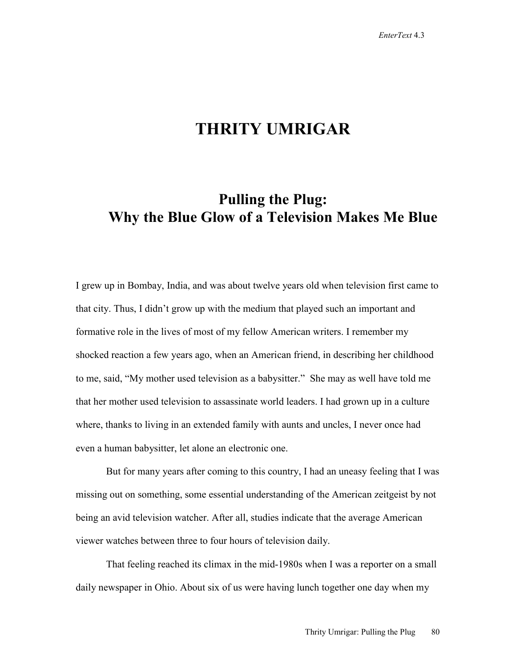## **THRITY UMRIGAR**

## **Pulling the Plug: Why the Blue Glow of a Television Makes Me Blue**

I grew up in Bombay, India, and was about twelve years old when television first came to that city. Thus, I didn't grow up with the medium that played such an important and formative role in the lives of most of my fellow American writers. I remember my shocked reaction a few years ago, when an American friend, in describing her childhood to me, said, "My mother used television as a babysitter." She may as well have told me that her mother used television to assassinate world leaders. I had grown up in a culture where, thanks to living in an extended family with aunts and uncles, I never once had even a human babysitter, let alone an electronic one.

But for many years after coming to this country, I had an uneasy feeling that I was missing out on something, some essential understanding of the American zeitgeist by not being an avid television watcher. After all, studies indicate that the average American viewer watches between three to four hours of television daily.

That feeling reached its climax in the mid-1980s when I was a reporter on a small daily newspaper in Ohio. About six of us were having lunch together one day when my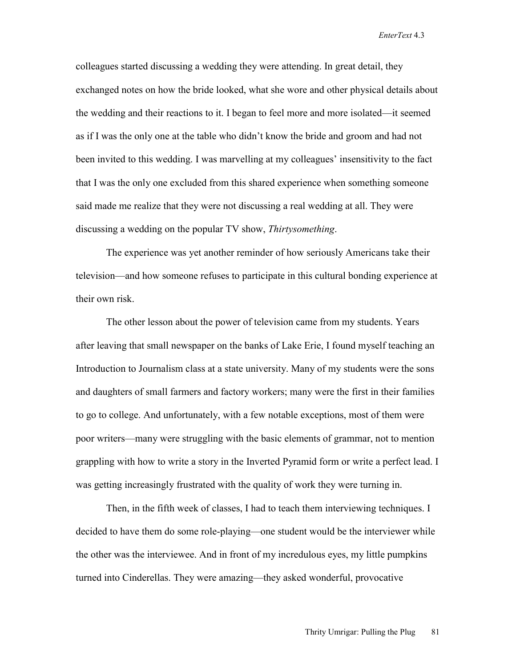*EnterText* 4.3

colleagues started discussing a wedding they were attending. In great detail, they exchanged notes on how the bride looked, what she wore and other physical details about the wedding and their reactions to it. I began to feel more and more isolated—it seemed as if I was the only one at the table who didn't know the bride and groom and had not been invited to this wedding. I was marvelling at my colleagues' insensitivity to the fact that I was the only one excluded from this shared experience when something someone said made me realize that they were not discussing a real wedding at all. They were discussing a wedding on the popular TV show, *Thirtysomething*.

The experience was yet another reminder of how seriously Americans take their television—and how someone refuses to participate in this cultural bonding experience at their own risk.

The other lesson about the power of television came from my students. Years after leaving that small newspaper on the banks of Lake Erie, I found myself teaching an Introduction to Journalism class at a state university. Many of my students were the sons and daughters of small farmers and factory workers; many were the first in their families to go to college. And unfortunately, with a few notable exceptions, most of them were poor writers—many were struggling with the basic elements of grammar, not to mention grappling with how to write a story in the Inverted Pyramid form or write a perfect lead. I was getting increasingly frustrated with the quality of work they were turning in.

Then, in the fifth week of classes, I had to teach them interviewing techniques. I decided to have them do some role-playing—one student would be the interviewer while the other was the interviewee. And in front of my incredulous eyes, my little pumpkins turned into Cinderellas. They were amazing—they asked wonderful, provocative

Thrity Umrigar: Pulling the Plug 81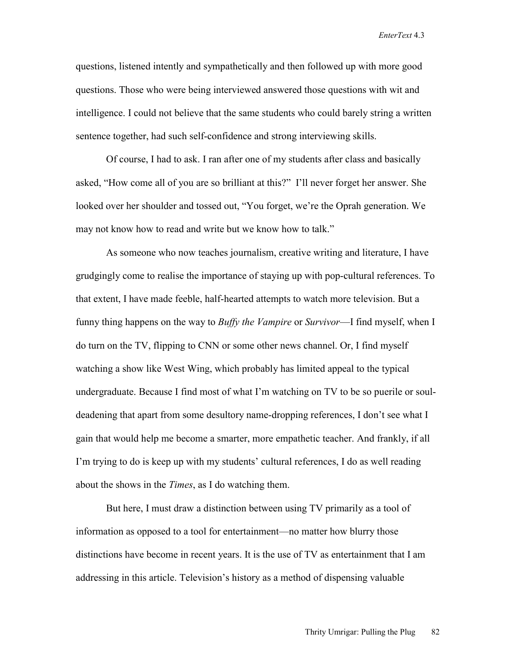*EnterText* 4.3

questions, listened intently and sympathetically and then followed up with more good questions. Those who were being interviewed answered those questions with wit and intelligence. I could not believe that the same students who could barely string a written sentence together, had such self-confidence and strong interviewing skills.

Of course, I had to ask. I ran after one of my students after class and basically asked, "How come all of you are so brilliant at this?" I'll never forget her answer. She looked over her shoulder and tossed out, "You forget, we're the Oprah generation. We may not know how to read and write but we know how to talk."

As someone who now teaches journalism, creative writing and literature, I have grudgingly come to realise the importance of staying up with pop-cultural references. To that extent, I have made feeble, half-hearted attempts to watch more television. But a funny thing happens on the way to *Buffy the Vampire* or *Survivor*—I find myself, when I do turn on the TV, flipping to CNN or some other news channel. Or, I find myself watching a show like West Wing, which probably has limited appeal to the typical undergraduate. Because I find most of what I'm watching on TV to be so puerile or souldeadening that apart from some desultory name-dropping references, I don't see what I gain that would help me become a smarter, more empathetic teacher. And frankly, if all I'm trying to do is keep up with my students' cultural references, I do as well reading about the shows in the *Times*, as I do watching them.

But here, I must draw a distinction between using TV primarily as a tool of information as opposed to a tool for entertainment—no matter how blurry those distinctions have become in recent years. It is the use of TV as entertainment that I am addressing in this article. Television's history as a method of dispensing valuable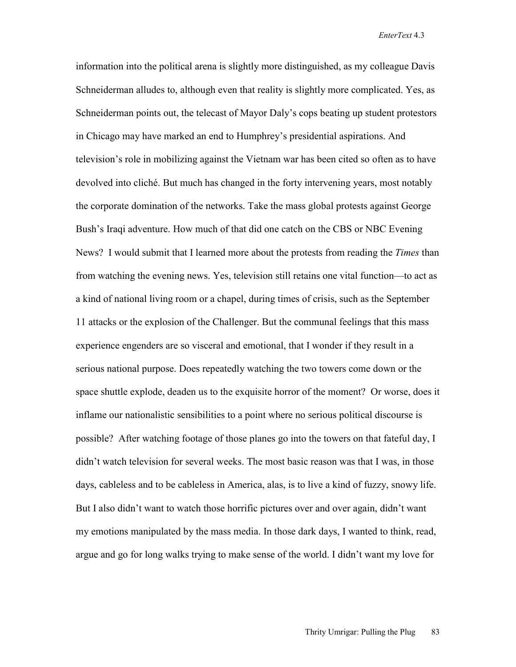information into the political arena is slightly more distinguished, as my colleague Davis Schneiderman alludes to, although even that reality is slightly more complicated. Yes, as Schneiderman points out, the telecast of Mayor Daly's cops beating up student protestors in Chicago may have marked an end to Humphrey's presidential aspirations. And television's role in mobilizing against the Vietnam war has been cited so often as to have devolved into cliché. But much has changed in the forty intervening years, most notably the corporate domination of the networks. Take the mass global protests against George Bush's Iraqi adventure. How much of that did one catch on the CBS or NBC Evening News? I would submit that I learned more about the protests from reading the *Times* than from watching the evening news. Yes, television still retains one vital function—to act as a kind of national living room or a chapel, during times of crisis, such as the September 11 attacks or the explosion of the Challenger. But the communal feelings that this mass experience engenders are so visceral and emotional, that I wonder if they result in a serious national purpose. Does repeatedly watching the two towers come down or the space shuttle explode, deaden us to the exquisite horror of the moment? Or worse, does it inflame our nationalistic sensibilities to a point where no serious political discourse is possible? After watching footage of those planes go into the towers on that fateful day, I didn't watch television for several weeks. The most basic reason was that I was, in those days, cableless and to be cableless in America, alas, is to live a kind of fuzzy, snowy life. But I also didn't want to watch those horrific pictures over and over again, didn't want my emotions manipulated by the mass media. In those dark days, I wanted to think, read, argue and go for long walks trying to make sense of the world. I didn't want my love for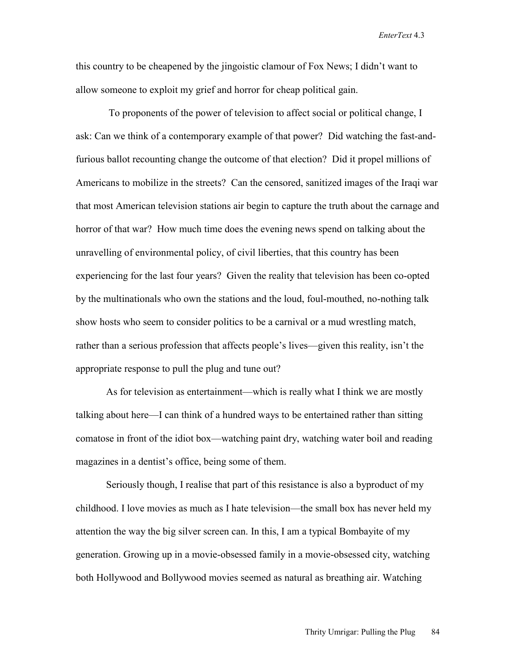*EnterText* 4.3

this country to be cheapened by the jingoistic clamour of Fox News; I didn't want to allow someone to exploit my grief and horror for cheap political gain.

 To proponents of the power of television to affect social or political change, I ask: Can we think of a contemporary example of that power? Did watching the fast-andfurious ballot recounting change the outcome of that election? Did it propel millions of Americans to mobilize in the streets? Can the censored, sanitized images of the Iraqi war that most American television stations air begin to capture the truth about the carnage and horror of that war? How much time does the evening news spend on talking about the unravelling of environmental policy, of civil liberties, that this country has been experiencing for the last four years? Given the reality that television has been co-opted by the multinationals who own the stations and the loud, foul-mouthed, no-nothing talk show hosts who seem to consider politics to be a carnival or a mud wrestling match, rather than a serious profession that affects people's lives—given this reality, isn't the appropriate response to pull the plug and tune out?

As for television as entertainment—which is really what I think we are mostly talking about here—I can think of a hundred ways to be entertained rather than sitting comatose in front of the idiot box—watching paint dry, watching water boil and reading magazines in a dentist's office, being some of them.

Seriously though, I realise that part of this resistance is also a byproduct of my childhood. I love movies as much as I hate television—the small box has never held my attention the way the big silver screen can. In this, I am a typical Bombayite of my generation. Growing up in a movie-obsessed family in a movie-obsessed city, watching both Hollywood and Bollywood movies seemed as natural as breathing air. Watching

Thrity Umrigar: Pulling the Plug 84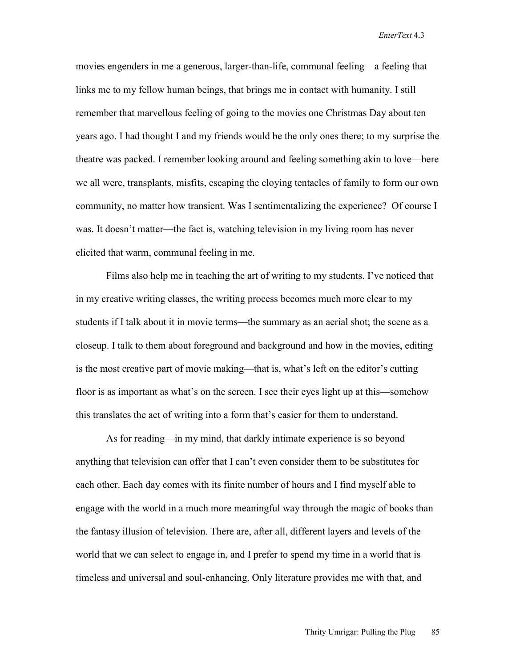movies engenders in me a generous, larger-than-life, communal feeling—a feeling that links me to my fellow human beings, that brings me in contact with humanity. I still remember that marvellous feeling of going to the movies one Christmas Day about ten years ago. I had thought I and my friends would be the only ones there; to my surprise the theatre was packed. I remember looking around and feeling something akin to love—here we all were, transplants, misfits, escaping the cloying tentacles of family to form our own community, no matter how transient. Was I sentimentalizing the experience? Of course I was. It doesn't matter—the fact is, watching television in my living room has never elicited that warm, communal feeling in me.

Films also help me in teaching the art of writing to my students. I've noticed that in my creative writing classes, the writing process becomes much more clear to my students if I talk about it in movie terms—the summary as an aerial shot; the scene as a closeup. I talk to them about foreground and background and how in the movies, editing is the most creative part of movie making—that is, what's left on the editor's cutting floor is as important as what's on the screen. I see their eyes light up at this—somehow this translates the act of writing into a form that's easier for them to understand.

As for reading—in my mind, that darkly intimate experience is so beyond anything that television can offer that I can't even consider them to be substitutes for each other. Each day comes with its finite number of hours and I find myself able to engage with the world in a much more meaningful way through the magic of books than the fantasy illusion of television. There are, after all, different layers and levels of the world that we can select to engage in, and I prefer to spend my time in a world that is timeless and universal and soul-enhancing. Only literature provides me with that, and